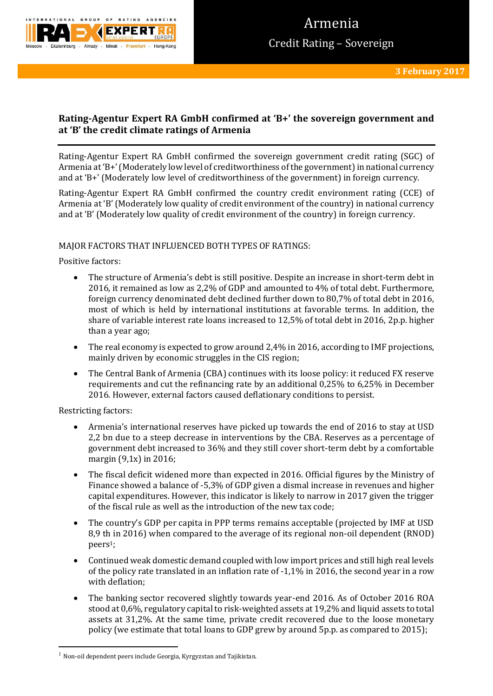

# **Rating-Agentur Expert RA GmbH confirmed at 'B+' the sovereign government and at 'B' the credit climate ratings of Armenia**

Rating-Agentur Expert RA GmbH confirmed the sovereign government credit rating (SGC) of Armenia at 'B+'(Moderately low level of creditworthiness of the government) in national currency and at 'B+' (Moderately low level of creditworthiness of the government) in foreign currency.

Rating-Agentur Expert RA GmbH confirmed the country credit environment rating (CCE) of Armenia at 'B' (Moderately low quality of credit environment of the country) in national currency and at 'B' (Moderately low quality of credit environment of the country) in foreign currency.

# MAJOR FACTORS THAT INFLUENCED BOTH TYPES OF RATINGS:

Positive factors:

- The structure of Armenia's debt is still positive. Despite an increase in short-term debt in 2016, it remained as low as 2,2% of GDP and amounted to 4% of total debt. Furthermore, foreign currency denominated debt declined further down to 80,7% of total debt in 2016, most of which is held by international institutions at favorable terms. In addition, the share of variable interest rate loans increased to 12,5% of total debt in 2016, 2p.p. higher than a year ago;
- The real economy is expected to grow around 2,4% in 2016, according to IMF projections, mainly driven by economic struggles in the CIS region;
- The Central Bank of Armenia (CBA) continues with its loose policy: it reduced FX reserve requirements and cut the refinancing rate by an additional 0,25% to 6,25% in December 2016. However, external factors caused deflationary conditions to persist.

Restricting factors:

1

- Armenia's international reserves have picked up towards the end of 2016 to stay at USD 2,2 bn due to a steep decrease in interventions by the CBA. Reserves as a percentage of government debt increased to 36% and they still cover short-term debt by a comfortable margin (9,1x) in 2016;
- The fiscal deficit widened more than expected in 2016. Official figures by the Ministry of Finance showed a balance of -5,3% of GDP given a dismal increase in revenues and higher capital expenditures. However, this indicator is likely to narrow in 2017 given the trigger of the fiscal rule as well as the introduction of the new tax code;
- The country's GDP per capita in PPP terms remains acceptable (projected by IMF at USD 8,9 th in 2016) when compared to the average of its regional non-oil dependent (RNOD) peers1;
- Continued weak domestic demand coupled with low import prices and still high real levels of the policy rate translated in an inflation rate of -1,1% in 2016, the second year in a row with deflation;
- The banking sector recovered slightly towards year-end 2016. As of October 2016 ROA stood at 0,6%, regulatory capital to risk-weighted assets at 19,2% and liquid assets to total assets at 31,2%. At the same time, private credit recovered due to the loose monetary policy (we estimate that total loans to GDP grew by around 5p.p. as compared to 2015);

 $^{\rm 1}$  Non-oil dependent peers include Georgia, Kyrgyzstan and Tajikistan.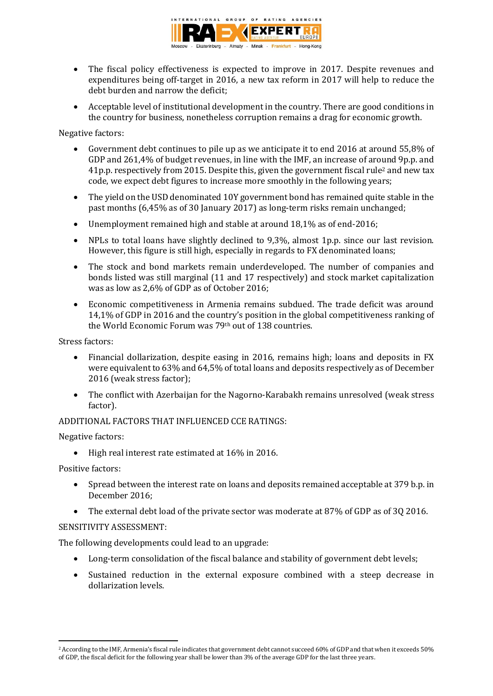

- The fiscal policy effectiveness is expected to improve in 2017. Despite revenues and expenditures being off-target in 2016, a new tax reform in 2017 will help to reduce the debt burden and narrow the deficit;
- Acceptable level of institutional development in the country. There are good conditions in the country for business, nonetheless corruption remains a drag for economic growth.

Negative factors:

- Government debt continues to pile up as we anticipate it to end 2016 at around 55,8% of GDP and 261,4% of budget revenues, in line with the IMF, an increase of around 9p.p. and 41p.p. respectively from 2015. Despite this, given the government fiscal rule<sup>2</sup> and new tax code, we expect debt figures to increase more smoothly in the following years;
- The yield on the USD denominated 10Y government bond has remained quite stable in the past months (6,45% as of 30 January 2017) as long-term risks remain unchanged;
- Unemployment remained high and stable at around 18,1% as of end-2016;
- NPLs to total loans have slightly declined to 9,3%, almost 1p.p. since our last revision. However, this figure is still high, especially in regards to FX denominated loans;
- The stock and bond markets remain underdeveloped. The number of companies and bonds listed was still marginal (11 and 17 respectively) and stock market capitalization was as low as 2,6% of GDP as of October 2016;
- Economic competitiveness in Armenia remains subdued. The trade deficit was around 14,1% of GDP in 2016 and the country's position in the global competitiveness ranking of the World Economic Forum was 79th out of 138 countries.

Stress factors:

- Financial dollarization, despite easing in 2016, remains high; loans and deposits in FX were equivalent to 63% and 64,5% of total loans and deposits respectively as of December 2016 (weak stress factor);
- The conflict with Azerbaijan for the Nagorno-Karabakh remains unresolved (weak stress factor).

ADDITIONAL FACTORS THAT INFLUENCED CCE RATINGS:

Negative factors:

• High real interest rate estimated at 16% in 2016.

Positive factors:

- Spread between the interest rate on loans and deposits remained acceptable at 379 b.p. in December 2016;
- The external debt load of the private sector was moderate at 87% of GDP as of 3Q 2016.

## SENSITIVITY ASSESSMENT:

The following developments could lead to an upgrade:

- Long-term consolidation of the fiscal balance and stability of government debt levels;
- Sustained reduction in the external exposure combined with a steep decrease in dollarization levels.

**<sup>.</sup>** <sup>2</sup> According to the IMF, Armenia's fiscal rule indicates that government debt cannot succeed 60% of GDP and that when it exceeds 50% of GDP, the fiscal deficit for the following year shall be lower than 3% of the average GDP for the last three years.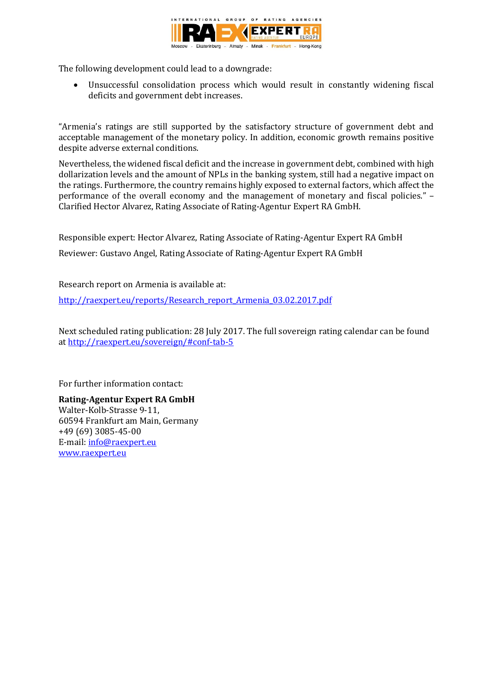

The following development could lead to a downgrade:

 Unsuccessful consolidation process which would result in constantly widening fiscal deficits and government debt increases.

"Armenia's ratings are still supported by the satisfactory structure of government debt and acceptable management of the monetary policy. In addition, economic growth remains positive despite adverse external conditions.

Nevertheless, the widened fiscal deficit and the increase in government debt, combined with high dollarization levels and the amount of NPLs in the banking system, still had a negative impact on the ratings. Furthermore, the country remains highly exposed to external factors, which affect the performance of the overall economy and the management of monetary and fiscal policies." – Clarified Hector Alvarez, Rating Associate of Rating-Agentur Expert RA GmbH.

Responsible expert: Hector Alvarez, Rating Associate of Rating-Agentur Expert RA GmbH

Reviewer: Gustavo Angel, Rating Associate of Rating-Agentur Expert RA GmbH

Research report on Armenia is available at:

[http://raexpert.eu/reports/Research\\_report\\_Armenia\\_03.02.2017.pdf](http://raexpert.eu/reports/Research_report_Armenia_03.02.2017.pdf)

Next scheduled rating publication: 28 July 2017. The full sovereign rating calendar can be found at<http://raexpert.eu/sovereign/#conf-tab-5>

For further information contact:

**Rating-Agentur Expert RA GmbH** Walter-Kolb-Strasse 9-11, 60594 Frankfurt am Main, Germany +49 (69) 3085-45-00 E-mail[: info@raexpert.eu](mailto:info@raexpert.eu) [www.raexpert.eu](http://raexpert.eu/)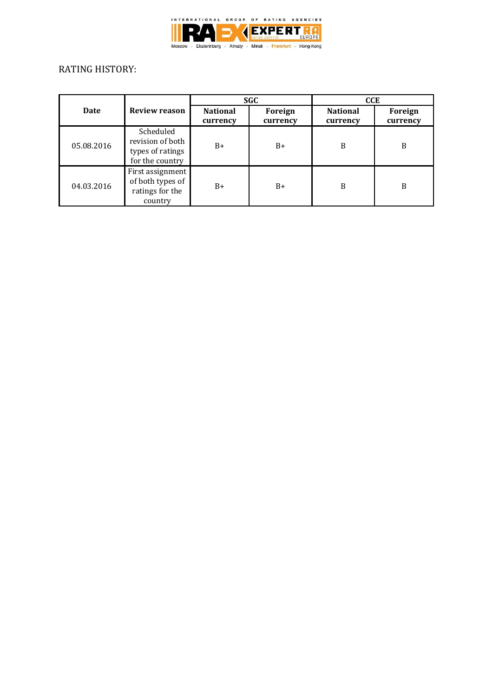

# RATING HISTORY:

|            |                                                                      | <b>SGC</b>                  |                     | <b>CCE</b>                  |                     |
|------------|----------------------------------------------------------------------|-----------------------------|---------------------|-----------------------------|---------------------|
| Date       | <b>Review reason</b>                                                 | <b>National</b><br>currency | Foreign<br>currency | <b>National</b><br>currency | Foreign<br>currency |
| 05.08.2016 | Scheduled<br>revision of both<br>types of ratings<br>for the country | $B+$                        | $B+$                | B                           | B                   |
| 04.03.2016 | First assignment<br>of both types of<br>ratings for the<br>country   | $B+$                        | $B+$                | B                           | B                   |